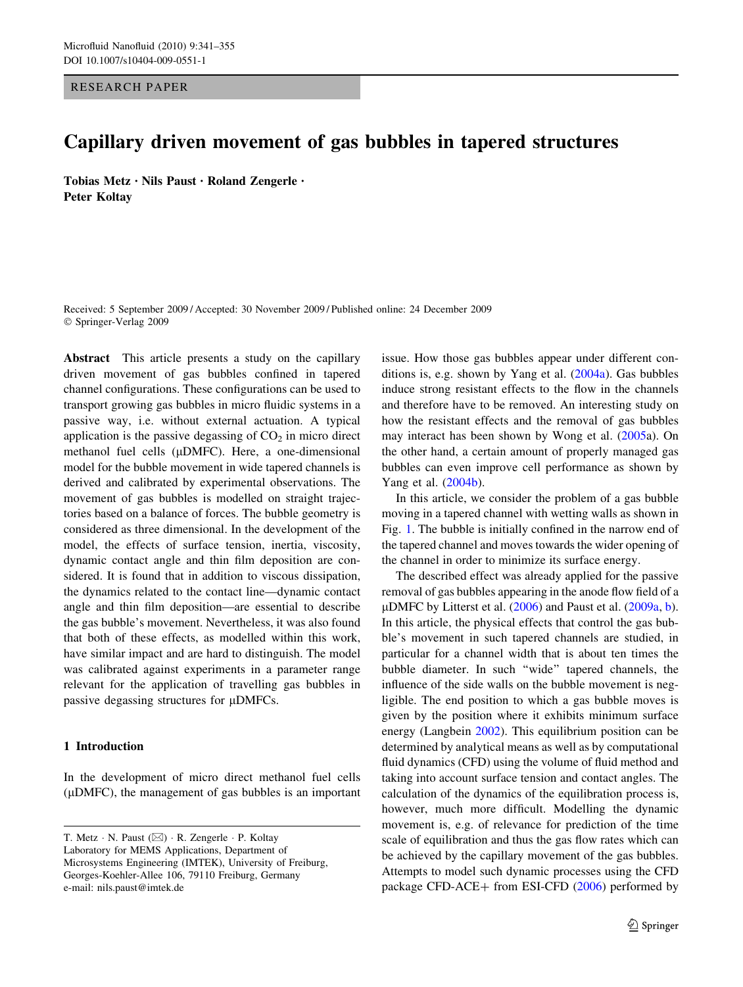RESEARCH PAPER

# Capillary driven movement of gas bubbles in tapered structures

Tobias Metz • Nils Paust • Roland Zengerle • Peter Koltay

Received: 5 September 2009 / Accepted: 30 November 2009 / Published online: 24 December 2009 © Springer-Verlag 2009

Abstract This article presents a study on the capillary driven movement of gas bubbles confined in tapered channel configurations. These configurations can be used to transport growing gas bubbles in micro fluidic systems in a passive way, i.e. without external actuation. A typical application is the passive degassing of  $CO<sub>2</sub>$  in micro direct methanol fuel cells (µDMFC). Here, a one-dimensional model for the bubble movement in wide tapered channels is derived and calibrated by experimental observations. The movement of gas bubbles is modelled on straight trajectories based on a balance of forces. The bubble geometry is considered as three dimensional. In the development of the model, the effects of surface tension, inertia, viscosity, dynamic contact angle and thin film deposition are considered. It is found that in addition to viscous dissipation, the dynamics related to the contact line—dynamic contact angle and thin film deposition—are essential to describe the gas bubble's movement. Nevertheless, it was also found that both of these effects, as modelled within this work, have similar impact and are hard to distinguish. The model was calibrated against experiments in a parameter range relevant for the application of travelling gas bubbles in passive degassing structures for  $\mu$ DMFCs.

#### 1 Introduction

In the development of micro direct methanol fuel cells  $(\mu$ DMFC), the management of gas bubbles is an important

T. Metz  $\cdot$  N. Paust ( $\boxtimes$ )  $\cdot$  R. Zengerle  $\cdot$  P. Koltay Laboratory for MEMS Applications, Department of Microsystems Engineering (IMTEK), University of Freiburg, Georges-Koehler-Allee 106, 79110 Freiburg, Germany e-mail: nils.paust@imtek.de

issue. How those gas bubbles appear under different conditions is, e.g. shown by Yang et al. ([2004a](#page-14-0)). Gas bubbles induce strong resistant effects to the flow in the channels and therefore have to be removed. An interesting study on how the resistant effects and the removal of gas bubbles may interact has been shown by Wong et al. [\(2005](#page-14-0)a). On the other hand, a certain amount of properly managed gas bubbles can even improve cell performance as shown by Yang et al. [\(2004b](#page-14-0)).

In this article, we consider the problem of a gas bubble moving in a tapered channel with wetting walls as shown in Fig. [1](#page-1-0). The bubble is initially confined in the narrow end of the tapered channel and moves towards the wider opening of the channel in order to minimize its surface energy.

The described effect was already applied for the passive removal of gas bubbles appearing in the anode flow field of a µDMFC [b](#page-14-0)y Litterst et al.  $(2006)$  $(2006)$  and Paust et al.  $(2009a, b)$  $(2009a, b)$  $(2009a, b)$ . In this article, the physical effects that control the gas bubble's movement in such tapered channels are studied, in particular for a channel width that is about ten times the bubble diameter. In such ''wide'' tapered channels, the influence of the side walls on the bubble movement is negligible. The end position to which a gas bubble moves is given by the position where it exhibits minimum surface energy (Langbein [2002](#page-14-0)). This equilibrium position can be determined by analytical means as well as by computational fluid dynamics (CFD) using the volume of fluid method and taking into account surface tension and contact angles. The calculation of the dynamics of the equilibration process is, however, much more difficult. Modelling the dynamic movement is, e.g. of relevance for prediction of the time scale of equilibration and thus the gas flow rates which can be achieved by the capillary movement of the gas bubbles. Attempts to model such dynamic processes using the CFD package CFD-ACE+ from ESI-CFD  $(2006)$  $(2006)$  performed by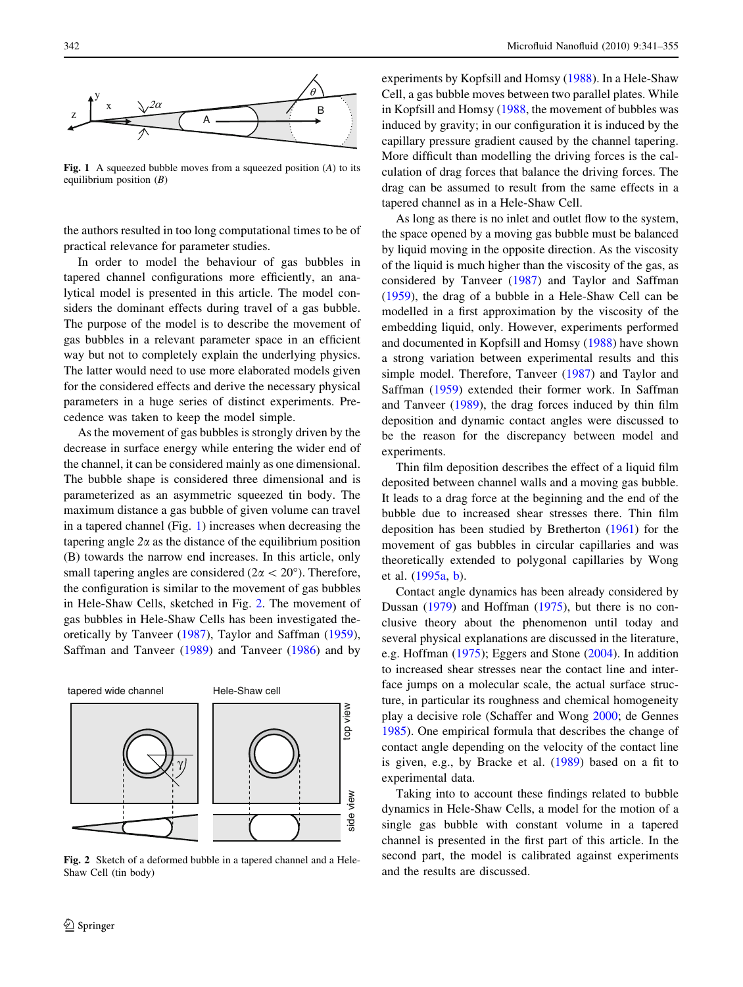<span id="page-1-0"></span>

Fig. 1 A squeezed bubble moves from a squeezed position  $(A)$  to its equilibrium position  $(B)$ 

the authors resulted in too long computational times to be of practical relevance for parameter studies.

In order to model the behaviour of gas bubbles in tapered channel configurations more efficiently, an analytical model is presented in this article. The model considers the dominant effects during travel of a gas bubble. The purpose of the model is to describe the movement of gas bubbles in a relevant parameter space in an efficient way but not to completely explain the underlying physics. The latter would need to use more elaborated models given for the considered effects and derive the necessary physical parameters in a huge series of distinct experiments. Precedence was taken to keep the model simple.

As the movement of gas bubbles is strongly driven by the decrease in surface energy while entering the wider end of the channel, it can be considered mainly as one dimensional. The bubble shape is considered three dimensional and is parameterized as an asymmetric squeezed tin body. The maximum distance a gas bubble of given volume can travel in a tapered channel (Fig. 1) increases when decreasing the tapering angle  $2\alpha$  as the distance of the equilibrium position (B) towards the narrow end increases. In this article, only small tapering angles are considered ( $2\alpha < 20^{\circ}$ ). Therefore, the configuration is similar to the movement of gas bubbles in Hele-Shaw Cells, sketched in Fig. 2. The movement of gas bubbles in Hele-Shaw Cells has been investigated theoretically by Tanveer [\(1987](#page-14-0)), Taylor and Saffman [\(1959](#page-14-0)), Saffman and Tanveer ([1989](#page-14-0)) and Tanveer [\(1986](#page-14-0)) and by



Fig. 2 Sketch of a deformed bubble in a tapered channel and a Hele-Shaw Cell (tin body)

experiments by Kopfsill and Homsy ([1988\)](#page-14-0). In a Hele-Shaw Cell, a gas bubble moves between two parallel plates. While in Kopfsill and Homsy ([1988,](#page-14-0) the movement of bubbles was induced by gravity; in our configuration it is induced by the capillary pressure gradient caused by the channel tapering. More difficult than modelling the driving forces is the calculation of drag forces that balance the driving forces. The drag can be assumed to result from the same effects in a tapered channel as in a Hele-Shaw Cell.

As long as there is no inlet and outlet flow to the system, the space opened by a moving gas bubble must be balanced by liquid moving in the opposite direction. As the viscosity of the liquid is much higher than the viscosity of the gas, as considered by Tanveer ([1987\)](#page-14-0) and Taylor and Saffman [\(1959](#page-14-0)), the drag of a bubble in a Hele-Shaw Cell can be modelled in a first approximation by the viscosity of the embedding liquid, only. However, experiments performed and documented in Kopfsill and Homsy [\(1988](#page-14-0)) have shown a strong variation between experimental results and this simple model. Therefore, Tanveer ([1987\)](#page-14-0) and Taylor and Saffman ([1959\)](#page-14-0) extended their former work. In Saffman and Tanveer [\(1989](#page-14-0)), the drag forces induced by thin film deposition and dynamic contact angles were discussed to be the reason for the discrepancy between model and experiments.

Thin film deposition describes the effect of a liquid film deposited between channel walls and a moving gas bubble. It leads to a drag force at the beginning and the end of the bubble due to increased shear stresses there. Thin film deposition has been studied by Bretherton [\(1961](#page-13-0)) for the movement of gas bubbles in circular capillaries and was theoretically extended to polygonal capillaries by Wong et al. [\(1995a,](#page-14-0) [b](#page-14-0)).

Contact angle dynamics has been already considered by Dussan ([1979\)](#page-13-0) and Hoffman ([1975\)](#page-14-0), but there is no conclusive theory about the phenomenon until today and several physical explanations are discussed in the literature, e.g. Hoffman ([1975\)](#page-14-0); Eggers and Stone ([2004\)](#page-13-0). In addition to increased shear stresses near the contact line and interface jumps on a molecular scale, the actual surface structure, in particular its roughness and chemical homogeneity play a decisive role (Schaffer and Wong [2000](#page-14-0); de Gennes [1985](#page-13-0)). One empirical formula that describes the change of contact angle depending on the velocity of the contact line is given, e.g., by Bracke et al. ([1989\)](#page-13-0) based on a fit to experimental data.

Taking into to account these findings related to bubble dynamics in Hele-Shaw Cells, a model for the motion of a single gas bubble with constant volume in a tapered channel is presented in the first part of this article. In the second part, the model is calibrated against experiments and the results are discussed.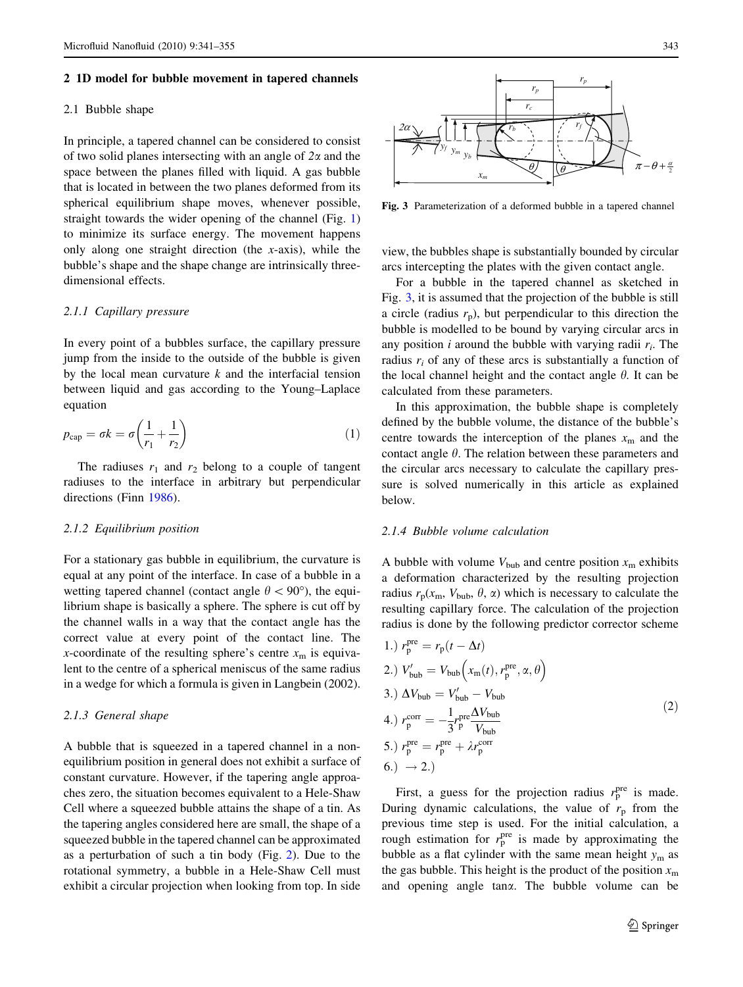#### <span id="page-2-0"></span>2 1D model for bubble movement in tapered channels

#### 2.1 Bubble shape

In principle, a tapered channel can be considered to consist of two solid planes intersecting with an angle of  $2\alpha$  and the space between the planes filled with liquid. A gas bubble that is located in between the two planes deformed from its spherical equilibrium shape moves, whenever possible, straight towards the wider opening of the channel (Fig. [1\)](#page-1-0) to minimize its surface energy. The movement happens only along one straight direction (the  $x$ -axis), while the bubble's shape and the shape change are intrinsically threedimensional effects.

# 2.1.1 Capillary pressure

In every point of a bubbles surface, the capillary pressure jump from the inside to the outside of the bubble is given by the local mean curvature  $k$  and the interfacial tension between liquid and gas according to the Young–Laplace equation

$$
p_{\rm cap} = \sigma k = \sigma \left(\frac{1}{r_1} + \frac{1}{r_2}\right) \tag{1}
$$

The radiuses  $r_1$  and  $r_2$  belong to a couple of tangent radiuses to the interface in arbitrary but perpendicular directions (Finn [1986\)](#page-14-0).

#### 2.1.2 Equilibrium position

For a stationary gas bubble in equilibrium, the curvature is equal at any point of the interface. In case of a bubble in a wetting tapered channel (contact angle  $\theta$  < 90°), the equilibrium shape is basically a sphere. The sphere is cut off by the channel walls in a way that the contact angle has the correct value at every point of the contact line. The x-coordinate of the resulting sphere's centre  $x<sub>m</sub>$  is equivalent to the centre of a spherical meniscus of the same radius in a wedge for which a formula is given in Langbein (2002).

#### 2.1.3 General shape

A bubble that is squeezed in a tapered channel in a nonequilibrium position in general does not exhibit a surface of constant curvature. However, if the tapering angle approaches zero, the situation becomes equivalent to a Hele-Shaw Cell where a squeezed bubble attains the shape of a tin. As the tapering angles considered here are small, the shape of a squeezed bubble in the tapered channel can be approximated as a perturbation of such a tin body (Fig. [2](#page-1-0)). Due to the rotational symmetry, a bubble in a Hele-Shaw Cell must exhibit a circular projection when looking from top. In side



Fig. 3 Parameterization of a deformed bubble in a tapered channel

view, the bubbles shape is substantially bounded by circular arcs intercepting the plates with the given contact angle.

For a bubble in the tapered channel as sketched in Fig. 3, it is assumed that the projection of the bubble is still a circle (radius  $r_p$ ), but perpendicular to this direction the bubble is modelled to be bound by varying circular arcs in any position *i* around the bubble with varying radii  $r_i$ . The radius  $r_i$  of any of these arcs is substantially a function of the local channel height and the contact angle  $\theta$ . It can be calculated from these parameters.

In this approximation, the bubble shape is completely defined by the bubble volume, the distance of the bubble's centre towards the interception of the planes  $x<sub>m</sub>$  and the contact angle  $\theta$ . The relation between these parameters and the circular arcs necessary to calculate the capillary pressure is solved numerically in this article as explained below.

## 2.1.4 Bubble volume calculation

A bubble with volume  $V_{\text{bub}}$  and centre position  $x_{\text{m}}$  exhibits a deformation characterized by the resulting projection radius  $r_p(x_m, V_{bub}, \theta, \alpha)$  which is necessary to calculate the resulting capillary force. The calculation of the projection radius is done by the following predictor corrector scheme

1.) 
$$
r_{\rm p}^{\rm pre} = r_{\rm p}(t - \Delta t)
$$
  
\n2.)  $V_{\rm bub}' = V_{\rm bub} (x_{\rm m}(t), r_{\rm p}^{\rm pre}, \alpha, \theta)$   
\n3.)  $\Delta V_{\rm bub} = V_{\rm bub}' - V_{\rm bub}$   
\n4.)  $r_{\rm p}^{\rm corr} = -\frac{1}{3} r_{\rm p}^{\rm pre} \frac{\Delta V_{\rm bub}}{V_{\rm bub}}$   
\n5.)  $r_{\rm p}^{\rm pre} = r_{\rm p}^{\rm pre} + \lambda r_{\rm p}^{\rm corr}$   
\n6.)  $\rightarrow$  2.)

First, a guess for the projection radius  $r_{\rm p}^{\rm pre}$  is made. During dynamic calculations, the value of  $r_p$  from the previous time step is used. For the initial calculation, a rough estimation for  $r_{\rm p}^{\rm pre}$  is made by approximating the bubble as a flat cylinder with the same mean height  $y_m$  as the gas bubble. This height is the product of the position  $x<sub>m</sub>$ and opening angle tana. The bubble volume can be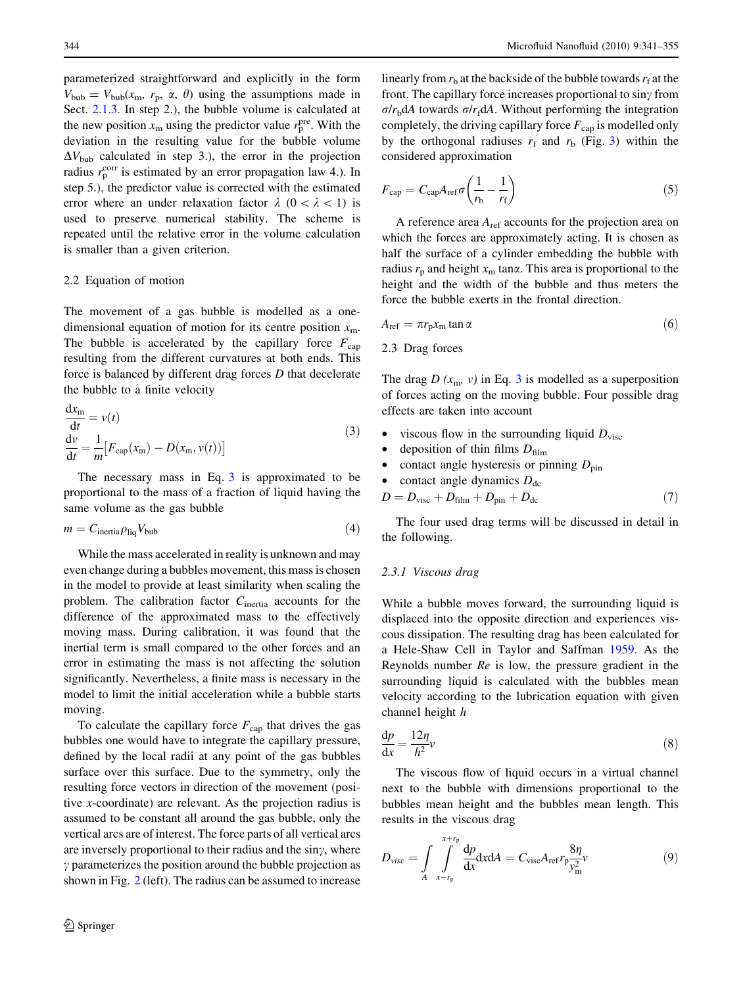<span id="page-3-0"></span>parameterized straightforward and explicitly in the form  $V_{\text{bub}} = V_{\text{bub}}(x_{\text{m}}, r_{\text{p}}, \alpha, \theta)$  using the assumptions made in Sect. [2.1.3.](#page-2-0) In step 2.), the bubble volume is calculated at the new position  $x_m$  using the predictor value  $r_p^{\text{pre}}$ . With the deviation in the resulting value for the bubble volume  $\Delta V_{\text{bub}}$  calculated in step 3.), the error in the projection radius  $r_{\rm p}^{\rm corr}$  is estimated by an error propagation law 4.). In step 5.), the predictor value is corrected with the estimated error where an under relaxation factor  $\lambda$  (0 <  $\lambda$  < 1) is used to preserve numerical stability. The scheme is repeated until the relative error in the volume calculation is smaller than a given criterion.

#### 2.2 Equation of motion

The movement of a gas bubble is modelled as a onedimensional equation of motion for its centre position  $x<sub>m</sub>$ . The bubble is accelerated by the capillary force  $F_{\text{cap}}$ resulting from the different curvatures at both ends. This force is balanced by different drag forces D that decelerate the bubble to a finite velocity

$$
\frac{dx_m}{dt} = v(t)
$$
  
\n
$$
\frac{dv}{dt} = \frac{1}{m} [F_{cap}(x_m) - D(x_m, v(t))]
$$
\n(3)

The necessary mass in Eq. 3 is approximated to be proportional to the mass of a fraction of liquid having the same volume as the gas bubble

$$
m = C_{\text{inertia}} \rho_{\text{liq}} V_{\text{bub}} \tag{4}
$$

While the mass accelerated in reality is unknown and may even change during a bubbles movement, this mass is chosen in the model to provide at least similarity when scaling the problem. The calibration factor  $C<sub>inertia</sub>$  accounts for the difference of the approximated mass to the effectively moving mass. During calibration, it was found that the inertial term is small compared to the other forces and an error in estimating the mass is not affecting the solution significantly. Nevertheless, a finite mass is necessary in the model to limit the initial acceleration while a bubble starts moving.

To calculate the capillary force  $F_{\text{cap}}$  that drives the gas bubbles one would have to integrate the capillary pressure, defined by the local radii at any point of the gas bubbles surface over this surface. Due to the symmetry, only the resulting force vectors in direction of the movement (positive  $x$ -coordinate) are relevant. As the projection radius is assumed to be constant all around the gas bubble, only the vertical arcs are of interest. The force parts of all vertical arcs are inversely proportional to their radius and the  $\sin\gamma$ , where  $\gamma$  parameterizes the position around the bubble projection as shown in Fig. [2](#page-1-0) (left). The radius can be assumed to increase

linearly from  $r<sub>b</sub>$  at the backside of the bubble towards  $r<sub>f</sub>$  at the front. The capillary force increases proportional to  $\sin\gamma$  from  $\sigma/r<sub>b</sub> dA$  towards  $\sigma/r<sub>f</sub> dA$ . Without performing the integration completely, the driving capillary force  $F_{\text{cap}}$  is modelled only by the orthogonal radiuses  $r_f$  and  $r_b$  (Fig. [3\)](#page-2-0) within the considered approximation

$$
F_{\rm cap} = C_{\rm cap} A_{\rm ref} \sigma \left( \frac{1}{r_{\rm b}} - \frac{1}{r_{\rm f}} \right) \tag{5}
$$

A reference area  $A_{ref}$  accounts for the projection area on which the forces are approximately acting. It is chosen as half the surface of a cylinder embedding the bubble with radius  $r_p$  and height  $x_m$  tan $\alpha$ . This area is proportional to the height and the width of the bubble and thus meters the force the bubble exerts in the frontal direction.

$$
A_{\rm ref} = \pi r_{\rm p} x_{\rm m} \tan \alpha \tag{6}
$$

2.3 Drag forces

The drag  $D(x_m, v)$  in Eq. 3 is modelled as a superposition of forces acting on the moving bubble. Four possible drag effects are taken into account

- viscous flow in the surrounding liquid  $D_{\text{visc}}$
- deposition of thin films  $D_{\text{film}}$
- contact angle hysteresis or pinning  $D_{\text{pin}}$
- contact angle dynamics  $D_{\text{dc}}$
- $D = D_{\text{visc}} + D_{\text{film}} + D_{\text{pin}} + D_{\text{dc}}$  (7)

The four used drag terms will be discussed in detail in the following.

# 2.3.1 Viscous drag

While a bubble moves forward, the surrounding liquid is displaced into the opposite direction and experiences viscous dissipation. The resulting drag has been calculated for a Hele-Shaw Cell in Taylor and Saffman [1959.](#page-14-0) As the Reynolds number  $Re$  is low, the pressure gradient in the surrounding liquid is calculated with the bubbles mean velocity according to the lubrication equation with given channel height h

$$
\frac{\mathrm{d}p}{\mathrm{d}x} = \frac{12\eta}{h^2}v\tag{8}
$$

The viscous flow of liquid occurs in a virtual channel next to the bubble with dimensions proportional to the bubbles mean height and the bubbles mean length. This results in the viscous drag

$$
D_{visc} = \int\limits_A \int\limits_{x-r_{\rm p}}^{x+r_{\rm p}} \frac{\mathrm{d}p}{\mathrm{d}x} \mathrm{d}x \mathrm{d}A = C_{\rm visc} A_{\rm ref} r_{\rm p} \frac{8\eta}{y_{\rm m}^2} v \tag{9}
$$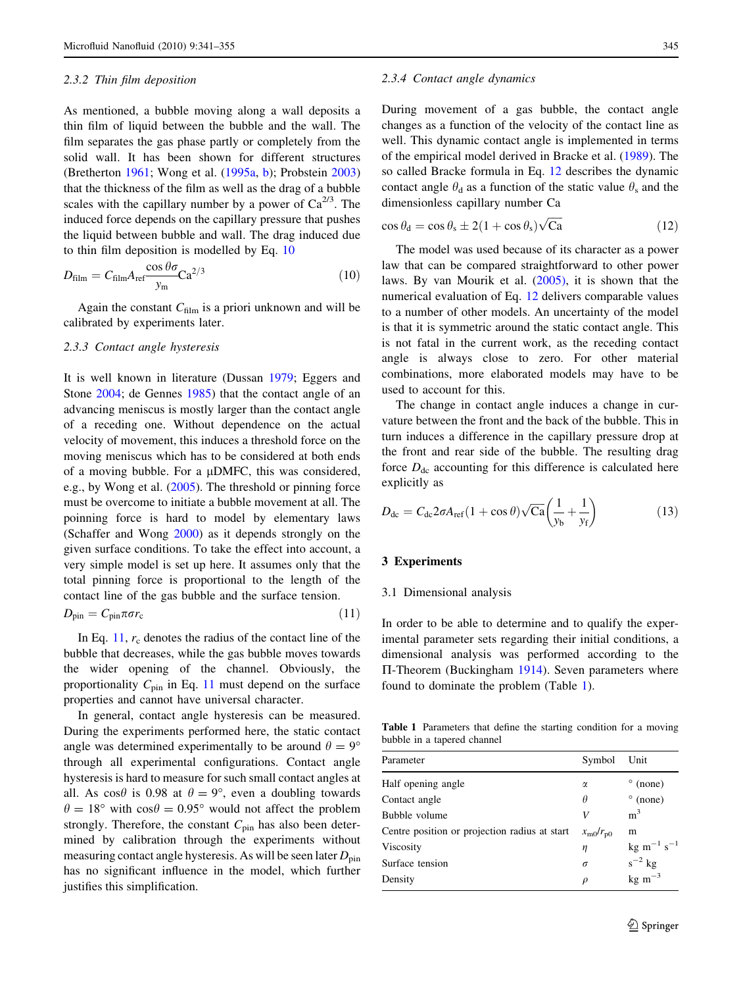### <span id="page-4-0"></span>2.3.2 Thin film deposition

As mentioned, a bubble moving along a wall deposits a thin film of liquid between the bubble and the wall. The film separates the gas phase partly or completely from the solid wall. It has been shown for different structures (Bretherton [1961](#page-13-0); Wong et al. ([1995a](#page-14-0), [b\)](#page-14-0); Probstein [2003\)](#page-14-0) that the thickness of the film as well as the drag of a bubble scales with the capillary number by a power of  $Ca^{2/3}$ . The induced force depends on the capillary pressure that pushes the liquid between bubble and wall. The drag induced due to thin film deposition is modelled by Eq. 10

$$
D_{\text{film}} = C_{\text{film}} A_{\text{ref}} \frac{\cos \theta \sigma}{y_{\text{m}}} \text{Ca}^{2/3} \tag{10}
$$

Again the constant  $C_{\text{film}}$  is a priori unknown and will be calibrated by experiments later.

## 2.3.3 Contact angle hysteresis

It is well known in literature (Dussan [1979](#page-13-0); Eggers and Stone [2004](#page-13-0); de Gennes [1985\)](#page-13-0) that the contact angle of an advancing meniscus is mostly larger than the contact angle of a receding one. Without dependence on the actual velocity of movement, this induces a threshold force on the moving meniscus which has to be considered at both ends of a moving bubble. For a  $\mu$ DMFC, this was considered, e.g., by Wong et al. ([2005\)](#page-14-0). The threshold or pinning force must be overcome to initiate a bubble movement at all. The poinning force is hard to model by elementary laws (Schaffer and Wong [2000](#page-14-0)) as it depends strongly on the given surface conditions. To take the effect into account, a very simple model is set up here. It assumes only that the total pinning force is proportional to the length of the contact line of the gas bubble and the surface tension.

$$
D_{\rm pin} = C_{\rm pin} \pi \sigma r_{\rm c} \tag{11}
$$

In Eq. 11,  $r_c$  denotes the radius of the contact line of the bubble that decreases, while the gas bubble moves towards the wider opening of the channel. Obviously, the proportionality  $C_{\text{pin}}$  in Eq. 11 must depend on the surface properties and cannot have universal character.

In general, contact angle hysteresis can be measured. During the experiments performed here, the static contact angle was determined experimentally to be around  $\theta = 9^{\circ}$ through all experimental configurations. Contact angle hysteresis is hard to measure for such small contact angles at all. As  $\cos\theta$  is 0.98 at  $\theta = 9^{\circ}$ , even a doubling towards  $\theta = 18^{\circ}$  with cos $\theta = 0.95^{\circ}$  would not affect the problem strongly. Therefore, the constant  $C_{\text{pin}}$  has also been determined by calibration through the experiments without measuring contact angle hysteresis. As will be seen later  $D_{\text{pin}}$ has no significant influence in the model, which further justifies this simplification.

#### 2.3.4 Contact angle dynamics

During movement of a gas bubble, the contact angle changes as a function of the velocity of the contact line as well. This dynamic contact angle is implemented in terms of the empirical model derived in Bracke et al. [\(1989](#page-13-0)). The so called Bracke formula in Eq. 12 describes the dynamic contact angle  $\theta_d$  as a function of the static value  $\theta_s$  and the dimensionless capillary number Ca

$$
\cos \theta_{\rm d} = \cos \theta_{\rm s} \pm 2(1 + \cos \theta_{\rm s})\sqrt{\rm Ca}
$$
 (12)

The model was used because of its character as a power law that can be compared straightforward to other power laws. By van Mourik et al. [\(2005\),](#page-14-0) it is shown that the numerical evaluation of Eq. 12 delivers comparable values to a number of other models. An uncertainty of the model is that it is symmetric around the static contact angle. This is not fatal in the current work, as the receding contact angle is always close to zero. For other material combinations, more elaborated models may have to be used to account for this.

The change in contact angle induces a change in curvature between the front and the back of the bubble. This in turn induces a difference in the capillary pressure drop at the front and rear side of the bubble. The resulting drag force  $D_{dc}$  accounting for this difference is calculated here explicitly as

$$
D_{\rm dc} = C_{\rm dc} 2\sigma A_{\rm ref} (1 + \cos \theta) \sqrt{\text{Ca}} \left( \frac{1}{y_b} + \frac{1}{y_f} \right) \tag{13}
$$

#### 3 Experiments

## 3.1 Dimensional analysis

In order to be able to determine and to qualify the experimental parameter sets regarding their initial conditions, a dimensional analysis was performed according to the  $\Pi$ -Theorem (Buckingham [1914](#page-13-0)). Seven parameters where found to dominate the problem (Table 1).

Table 1 Parameters that define the starting condition for a moving bubble in a tapered channel

| Parameter                                     | Symbol                  | Unit                              |
|-----------------------------------------------|-------------------------|-----------------------------------|
| Half opening angle                            | α                       | $\degree$ (none)                  |
| Contact angle                                 | θ                       | $^{\circ}$ (none)                 |
| Bubble volume                                 | V                       | m <sup>3</sup>                    |
| Centre position or projection radius at start | $x_{\rm m0}/r_{\rm p0}$ | m                                 |
| Viscosity                                     | η                       | $\text{kg m}^{-1} \text{ s}^{-1}$ |
| Surface tension                               | $\sigma$                | $s^{-2}$ kg                       |
| Density                                       | $\rho$                  | $kg \text{ m}^{-3}$               |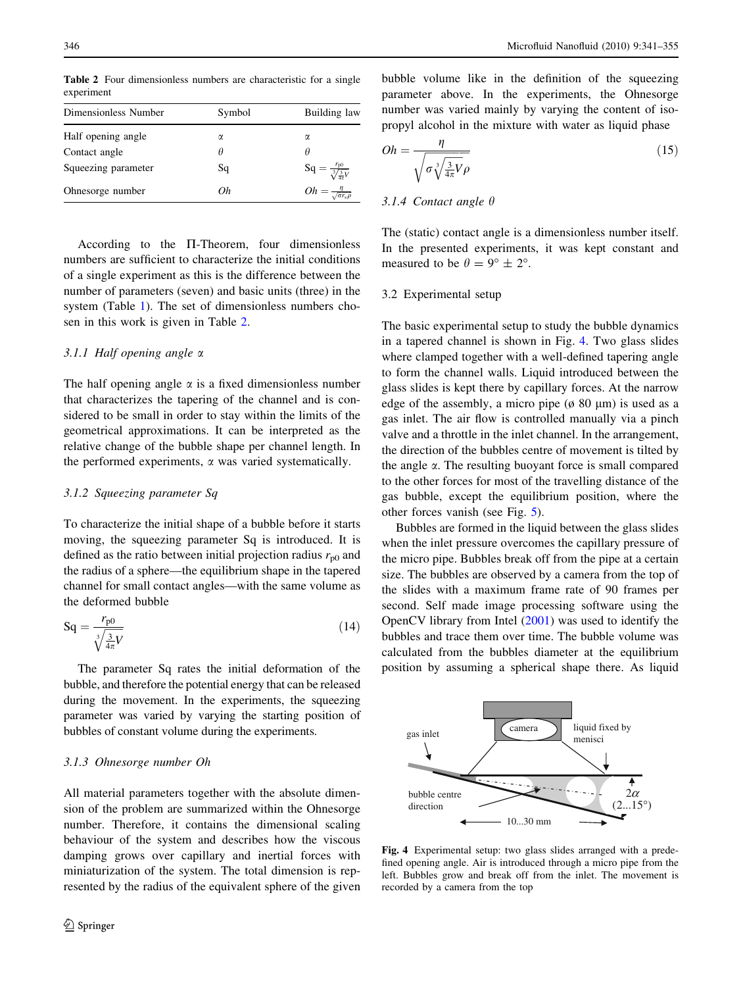Table 2 Four dimensionless numbers are characteristic for a single experiment

| Dimensionless Number | Symbol | Building law                                  |  |  |
|----------------------|--------|-----------------------------------------------|--|--|
|                      |        |                                               |  |  |
| Half opening angle   | α      | α                                             |  |  |
| Contact angle        | Ĥ      | Ĥ                                             |  |  |
| Squeezing parameter  | Sq     | $Sq = \frac{r_{p0}}{\sqrt[3]{\frac{3}{45}V}}$ |  |  |
| Ohnesorge number     | Oh     | $Oh = \frac{\eta}{\sqrt{\sigma r_s \rho}}$    |  |  |

According to the  $\Pi$ -Theorem, four dimensionless numbers are sufficient to characterize the initial conditions of a single experiment as this is the difference between the number of parameters (seven) and basic units (three) in the system (Table [1](#page-4-0)). The set of dimensionless numbers chosen in this work is given in Table 2.

# 3.1.1 Half opening angle  $\alpha$

The half opening angle  $\alpha$  is a fixed dimensionless number that characterizes the tapering of the channel and is considered to be small in order to stay within the limits of the geometrical approximations. It can be interpreted as the relative change of the bubble shape per channel length. In the performed experiments,  $\alpha$  was varied systematically.

# 3.1.2 Squeezing parameter Sq

To characterize the initial shape of a bubble before it starts moving, the squeezing parameter Sq is introduced. It is defined as the ratio between initial projection radius  $r_{p0}$  and the radius of a sphere—the equilibrium shape in the tapered channel for small contact angles—with the same volume as the deformed bubble

$$
Sq = \frac{r_{p0}}{\sqrt[3]{\frac{3}{4\pi}V}}\tag{14}
$$

The parameter Sq rates the initial deformation of the bubble, and therefore the potential energy that can be released during the movement. In the experiments, the squeezing parameter was varied by varying the starting position of bubbles of constant volume during the experiments.

# 3.1.3 Ohnesorge number Oh

All material parameters together with the absolute dimension of the problem are summarized within the Ohnesorge number. Therefore, it contains the dimensional scaling behaviour of the system and describes how the viscous damping grows over capillary and inertial forces with miniaturization of the system. The total dimension is represented by the radius of the equivalent sphere of the given

bubble volume like in the definition of the squeezing parameter above. In the experiments, the Ohnesorge number was varied mainly by varying the content of isopropyl alcohol in the mixture with water as liquid phase

$$
Oh = \frac{\eta}{\sqrt{\sigma_v^3 \frac{3}{4\pi} V \rho}}
$$
\n(15)

## 3.1.4 Contact angle  $\theta$

The (static) contact angle is a dimensionless number itself. In the presented experiments, it was kept constant and measured to be  $\theta = 9^{\circ} \pm 2^{\circ}$ .

## 3.2 Experimental setup

The basic experimental setup to study the bubble dynamics in a tapered channel is shown in Fig. 4. Two glass slides where clamped together with a well-defined tapering angle to form the channel walls. Liquid introduced between the glass slides is kept there by capillary forces. At the narrow edge of the assembly, a micro pipe ( $\phi$  80  $\mu$ m) is used as a gas inlet. The air flow is controlled manually via a pinch valve and a throttle in the inlet channel. In the arrangement, the direction of the bubbles centre of movement is tilted by the angle  $\alpha$ . The resulting buoyant force is small compared to the other forces for most of the travelling distance of the gas bubble, except the equilibrium position, where the other forces vanish (see Fig. [5\)](#page-6-0).

Bubbles are formed in the liquid between the glass slides when the inlet pressure overcomes the capillary pressure of the micro pipe. Bubbles break off from the pipe at a certain size. The bubbles are observed by a camera from the top of the slides with a maximum frame rate of 90 frames per second. Self made image processing software using the OpenCV library from Intel [\(2001](#page-14-0)) was used to identify the bubbles and trace them over time. The bubble volume was calculated from the bubbles diameter at the equilibrium position by assuming a spherical shape there. As liquid



Fig. 4 Experimental setup: two glass slides arranged with a predefined opening angle. Air is introduced through a micro pipe from the left. Bubbles grow and break off from the inlet. The movement is recorded by a camera from the top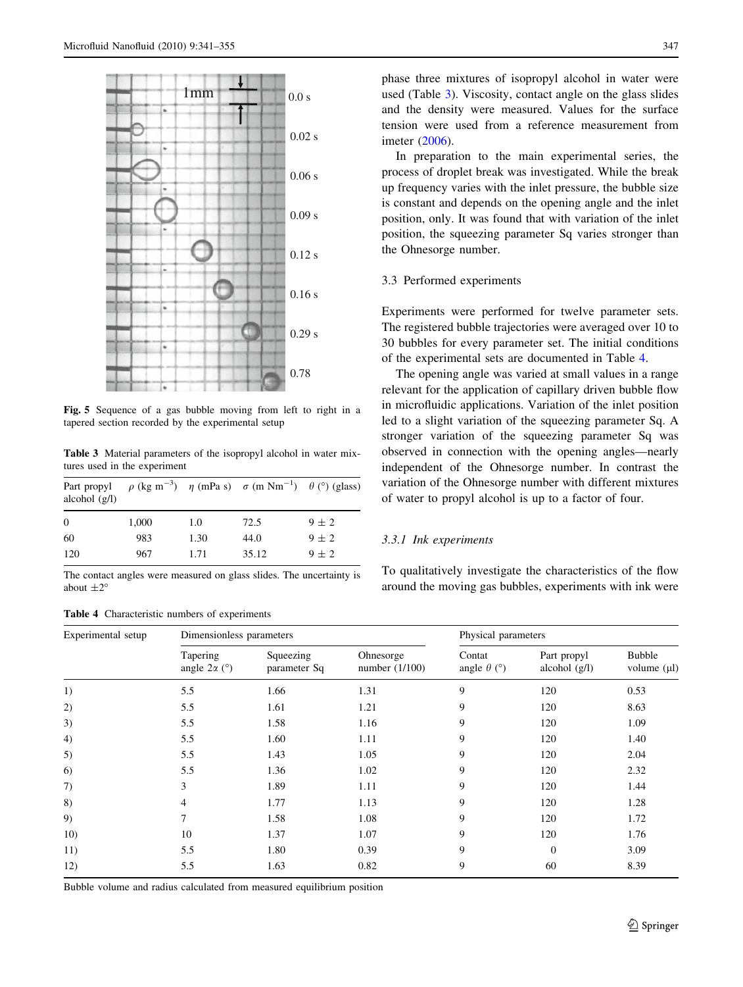<span id="page-6-0"></span>

Fig. 5 Sequence of a gas bubble moving from left to right in a tapered section recorded by the experimental setup

Table 3 Material parameters of the isopropyl alcohol in water mixtures used in the experiment

| alcohol $(g/l)$ |       |      | Part propyl $\rho$ (kg m <sup>-3</sup> ) $\eta$ (mPa s) $\sigma$ (m Nm <sup>-1</sup> ) $\theta$ (°) (glass) |           |  |
|-----------------|-------|------|-------------------------------------------------------------------------------------------------------------|-----------|--|
| $\Omega$        | 1,000 | 1.0  | 72.5                                                                                                        | $9 \pm 2$ |  |
| 60              | 983   | 1.30 | 44.0                                                                                                        | $9 \pm 2$ |  |
| 120             | 967   | 1.71 | 35.12                                                                                                       | $9 \pm 2$ |  |

The contact angles were measured on glass slides. The uncertainty is about  $\pm 2^{\circ}$ 

## Table 4 Characteristic numbers of experiments

phase three mixtures of isopropyl alcohol in water were used (Table 3). Viscosity, contact angle on the glass slides and the density were measured. Values for the surface tension were used from a reference measurement from imeter [\(2006](#page-14-0)).

In preparation to the main experimental series, the process of droplet break was investigated. While the break up frequency varies with the inlet pressure, the bubble size is constant and depends on the opening angle and the inlet position, only. It was found that with variation of the inlet position, the squeezing parameter Sq varies stronger than the Ohnesorge number.

# 3.3 Performed experiments

Experiments were performed for twelve parameter sets. The registered bubble trajectories were averaged over 10 to 30 bubbles for every parameter set. The initial conditions of the experimental sets are documented in Table 4.

The opening angle was varied at small values in a range relevant for the application of capillary driven bubble flow in microfluidic applications. Variation of the inlet position led to a slight variation of the squeezing parameter Sq. A stronger variation of the squeezing parameter Sq was observed in connection with the opening angles—nearly independent of the Ohnesorge number. In contrast the variation of the Ohnesorge number with different mixtures of water to propyl alcohol is up to a factor of four.

## 3.3.1 Ink experiments

To qualitatively investigate the characteristics of the flow around the moving gas bubbles, experiments with ink were

| Experimental setup | Dimensionless parameters                  |                           |                               | Physical parameters                    |                                |                                   |  |
|--------------------|-------------------------------------------|---------------------------|-------------------------------|----------------------------------------|--------------------------------|-----------------------------------|--|
|                    | Tapering<br>angle $2\alpha$ ( $\degree$ ) | Squeezing<br>parameter Sq | Ohnesorge<br>number $(1/100)$ | Contat<br>angle $\theta$ ( $\degree$ ) | Part propyl<br>alcohol $(g/l)$ | <b>Bubble</b><br>volume $(\mu l)$ |  |
| 1)                 | 5.5                                       | 1.66                      | 1.31                          | 9                                      | 120                            | 0.53                              |  |
| 2)                 | 5.5                                       | 1.61                      | 1.21                          | 9                                      | 120                            | 8.63                              |  |
| 3)                 | 5.5                                       | 1.58                      | 1.16                          | 9                                      | 120                            | 1.09                              |  |
| 4)                 | 5.5                                       | 1.60                      | 1.11                          | 9                                      | 120                            | 1.40                              |  |
| 5)                 | 5.5                                       | 1.43                      | 1.05                          | 9                                      | 120                            | 2.04                              |  |
| 6)                 | 5.5                                       | 1.36                      | 1.02                          | 9                                      | 120                            | 2.32                              |  |
| 7)                 | 3                                         | 1.89                      | 1.11                          | 9                                      | 120                            | 1.44                              |  |
| 8)                 | 4                                         | 1.77                      | 1.13                          | 9                                      | 120                            | 1.28                              |  |
| 9)                 | 7                                         | 1.58                      | 1.08                          | 9                                      | 120                            | 1.72                              |  |
| 10)                | 10                                        | 1.37                      | 1.07                          | 9                                      | 120                            | 1.76                              |  |
| 11)                | 5.5                                       | 1.80                      | 0.39                          | 9                                      | $\overline{0}$                 | 3.09                              |  |
| 12)                | 5.5                                       | 1.63                      | 0.82                          | 9                                      | 60                             | 8.39                              |  |

Bubble volume and radius calculated from measured equilibrium position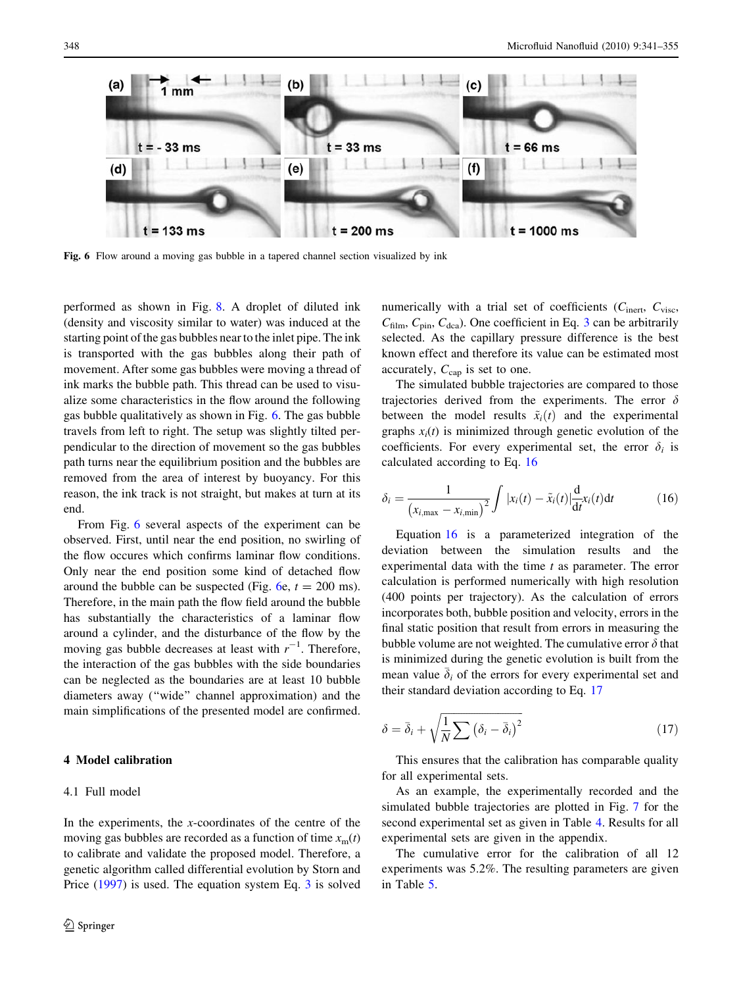<span id="page-7-0"></span>

Fig. 6 Flow around a moving gas bubble in a tapered channel section visualized by ink

performed as shown in Fig. [8](#page-8-0). A droplet of diluted ink (density and viscosity similar to water) was induced at the starting point of the gas bubbles near to the inlet pipe. The ink is transported with the gas bubbles along their path of movement. After some gas bubbles were moving a thread of ink marks the bubble path. This thread can be used to visualize some characteristics in the flow around the following gas bubble qualitatively as shown in Fig. 6. The gas bubble travels from left to right. The setup was slightly tilted perpendicular to the direction of movement so the gas bubbles path turns near the equilibrium position and the bubbles are removed from the area of interest by buoyancy. For this reason, the ink track is not straight, but makes at turn at its end.

From Fig. 6 several aspects of the experiment can be observed. First, until near the end position, no swirling of the flow occures which confirms laminar flow conditions. Only near the end position some kind of detached flow around the bubble can be suspected (Fig.  $6e$ ,  $t = 200$  ms). Therefore, in the main path the flow field around the bubble has substantially the characteristics of a laminar flow around a cylinder, and the disturbance of the flow by the moving gas bubble decreases at least with  $r^{-1}$ . Therefore, the interaction of the gas bubbles with the side boundaries can be neglected as the boundaries are at least 10 bubble diameters away (''wide'' channel approximation) and the main simplifications of the presented model are confirmed.

# 4 Model calibration

# 4.1 Full model

In the experiments, the  $x$ -coordinates of the centre of the moving gas bubbles are recorded as a function of time  $x<sub>m</sub>(t)$ to calibrate and validate the proposed model. Therefore, a genetic algorithm called differential evolution by Storn and Price [\(1997](#page-14-0)) is used. The equation system Eq. [3](#page-3-0) is solved numerically with a trial set of coefficients ( $C<sub>inert</sub>, C<sub>visc</sub>$ ,  $C_{\text{film}}$ ,  $C_{\text{pin}}$ ,  $C_{\text{dca}}$ ). One coefficient in Eq. [3](#page-3-0) can be arbitrarily selected. As the capillary pressure difference is the best known effect and therefore its value can be estimated most accurately,  $C_{\text{cap}}$  is set to one.

The simulated bubble trajectories are compared to those trajectories derived from the experiments. The error  $\delta$ between the model results  $\tilde{x}_i(t)$  and the experimental graphs  $x_i(t)$  is minimized through genetic evolution of the coefficients. For every experimental set, the error  $\delta_i$  is calculated according to Eq. 16

$$
\delta_i = \frac{1}{(x_{i,\text{max}} - x_{i,\text{min}})^2} \int |x_i(t) - \tilde{x}_i(t)| \frac{d}{dt} x_i(t) dt \tag{16}
$$

Equation 16 is a parameterized integration of the deviation between the simulation results and the experimental data with the time  $t$  as parameter. The error calculation is performed numerically with high resolution (400 points per trajectory). As the calculation of errors incorporates both, bubble position and velocity, errors in the final static position that result from errors in measuring the bubble volume are not weighted. The cumulative error  $\delta$  that is minimized during the genetic evolution is built from the mean value  $\bar{\delta}_i$  of the errors for every experimental set and their standard deviation according to Eq. 17

$$
\delta = \bar{\delta}_i + \sqrt{\frac{1}{N} \sum (\delta_i - \bar{\delta}_i)^2}
$$
 (17)

This ensures that the calibration has comparable quality for all experimental sets.

As an example, the experimentally recorded and the simulated bubble trajectories are plotted in Fig. [7](#page-8-0) for the second experimental set as given in Table [4.](#page-6-0) Results for all experimental sets are given in the appendix.

The cumulative error for the calibration of all 12 experiments was 5.2%. The resulting parameters are given in Table [5](#page-8-0).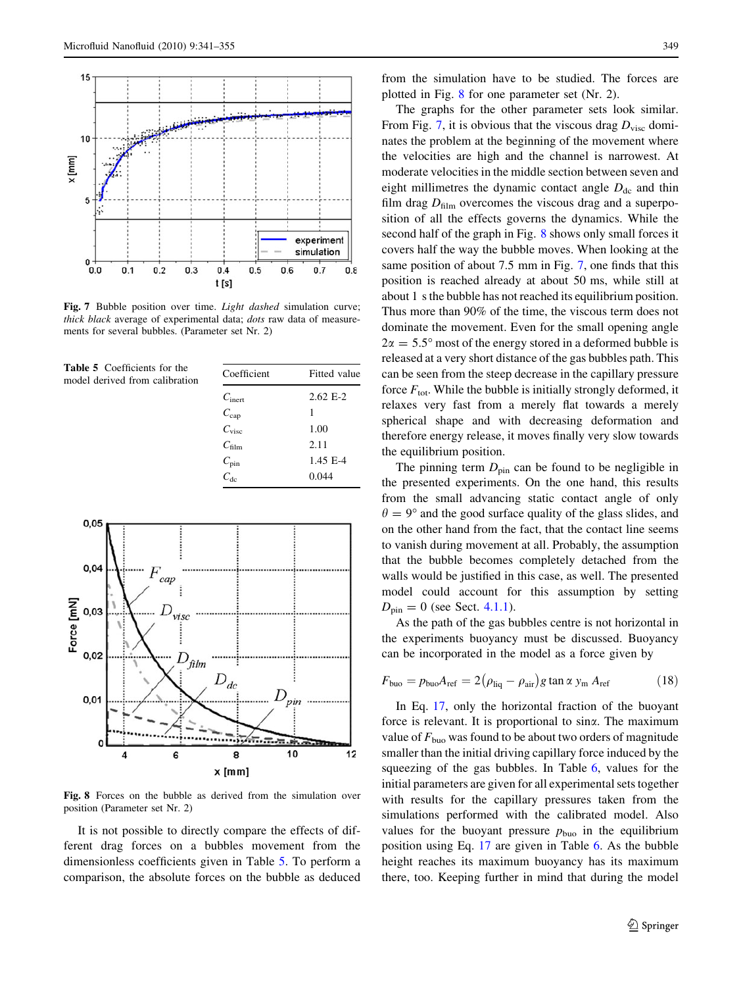<span id="page-8-0"></span>

Fig. 7 Bubble position over time. *Light dashed* simulation curve; thick black average of experimental data; dots raw data of measurements for several bubbles. (Parameter set Nr. 2)

Table 5 Coefficients for the model derived from calibration

| Coefficient        | Fitted value |
|--------------------|--------------|
| $C_{\text{inert}}$ | $2.62 E-2$   |
| $C_{\text{cap}}$   | 1            |
| $C_{\rm visc}$     | 1.00         |
| $C_{\text{film}}$  | 2.11         |
| $C_{\text{pin}}$   | 1.45 E-4     |
| $C_{\rm de}$       | 0.044        |
|                    |              |



Fig. 8 Forces on the bubble as derived from the simulation over position (Parameter set Nr. 2)

It is not possible to directly compare the effects of different drag forces on a bubbles movement from the dimensionless coefficients given in Table 5. To perform a comparison, the absolute forces on the bubble as deduced

from the simulation have to be studied. The forces are plotted in Fig. 8 for one parameter set (Nr. 2).

The graphs for the other parameter sets look similar. From Fig. 7, it is obvious that the viscous drag  $D_{\text{visc}}$  dominates the problem at the beginning of the movement where the velocities are high and the channel is narrowest. At moderate velocities in the middle section between seven and eight millimetres the dynamic contact angle  $D_{dc}$  and thin film drag  $D<sub>film</sub>$  overcomes the viscous drag and a superposition of all the effects governs the dynamics. While the second half of the graph in Fig. 8 shows only small forces it covers half the way the bubble moves. When looking at the same position of about 7.5 mm in Fig. 7, one finds that this position is reached already at about 50 ms, while still at about 1 s the bubble has not reached its equilibrium position. Thus more than 90% of the time, the viscous term does not dominate the movement. Even for the small opening angle  $2\alpha = 5.5^{\circ}$  most of the energy stored in a deformed bubble is released at a very short distance of the gas bubbles path. This can be seen from the steep decrease in the capillary pressure force  $F_{\text{tot}}$ . While the bubble is initially strongly deformed, it relaxes very fast from a merely flat towards a merely spherical shape and with decreasing deformation and therefore energy release, it moves finally very slow towards the equilibrium position.

The pinning term  $D_{\text{pin}}$  can be found to be negligible in the presented experiments. On the one hand, this results from the small advancing static contact angle of only  $\theta = 9^{\circ}$  and the good surface quality of the glass slides, and on the other hand from the fact, that the contact line seems to vanish during movement at all. Probably, the assumption that the bubble becomes completely detached from the walls would be justified in this case, as well. The presented model could account for this assumption by setting  $D_{\text{pin}} = 0$  (see Sect. [4.1.1](#page-9-0)).

As the path of the gas bubbles centre is not horizontal in the experiments buoyancy must be discussed. Buoyancy can be incorporated in the model as a force given by

$$
F_{\text{buo}} = p_{\text{buo}} A_{\text{ref}} = 2(\rho_{\text{liq}} - \rho_{\text{air}}) g \tan \alpha y_{\text{m}} A_{\text{ref}}
$$
(18)

In Eq. [17,](#page-7-0) only the horizontal fraction of the buoyant force is relevant. It is proportional to sina. The maximum value of  $F_{\text{buo}}$  was found to be about two orders of magnitude smaller than the initial driving capillary force induced by the squeezing of the gas bubbles. In Table [6](#page-9-0), values for the initial parameters are given for all experimental sets together with results for the capillary pressures taken from the simulations performed with the calibrated model. Also values for the buoyant pressure  $p_{\text{buo}}$  in the equilibrium position using Eq. [17](#page-7-0) are given in Table [6.](#page-9-0) As the bubble height reaches its maximum buoyancy has its maximum there, too. Keeping further in mind that during the model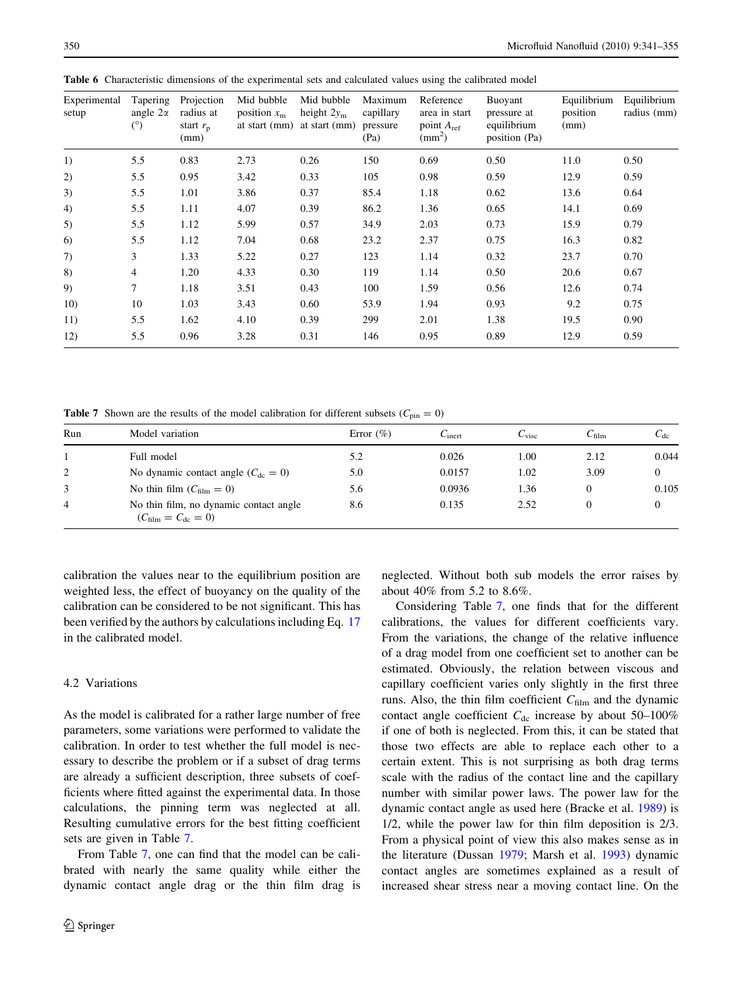| Experimental<br>setup | Tapering<br>angle $2\alpha$<br>$(^\circ)$ | Projection<br>radius at<br>start $r_{\rm p}$<br>(mm) | Mid bubble<br>position $x_m$<br>at start (mm) | Mid bubble<br>height $2y_m$<br>at start (mm) | Maximum<br>capillary<br>pressure<br>(Pa) | Reference<br>area in start<br>point $A_{ref}$<br>$\text{(mm}^2)$ | Buoyant<br>pressure at<br>equilibrium<br>position (Pa) | Equilibrium<br>position<br>(mm) | Equilibrium<br>radius (mm) |
|-----------------------|-------------------------------------------|------------------------------------------------------|-----------------------------------------------|----------------------------------------------|------------------------------------------|------------------------------------------------------------------|--------------------------------------------------------|---------------------------------|----------------------------|
| 1)                    | 5.5                                       | 0.83                                                 | 2.73                                          | 0.26                                         | 150                                      | 0.69                                                             | 0.50                                                   | 11.0                            | 0.50                       |
| 2)                    | 5.5                                       | 0.95                                                 | 3.42                                          | 0.33                                         | 105                                      | 0.98                                                             | 0.59                                                   | 12.9                            | 0.59                       |
| 3)                    | 5.5                                       | 1.01                                                 | 3.86                                          | 0.37                                         | 85.4                                     | 1.18                                                             | 0.62                                                   | 13.6                            | 0.64                       |
| 4)                    | 5.5                                       | 1.11                                                 | 4.07                                          | 0.39                                         | 86.2                                     | 1.36                                                             | 0.65                                                   | 14.1                            | 0.69                       |
| 5)                    | 5.5                                       | 1.12                                                 | 5.99                                          | 0.57                                         | 34.9                                     | 2.03                                                             | 0.73                                                   | 15.9                            | 0.79                       |
| 6)                    | 5.5                                       | 1.12                                                 | 7.04                                          | 0.68                                         | 23.2                                     | 2.37                                                             | 0.75                                                   | 16.3                            | 0.82                       |
| 7)                    | 3                                         | 1.33                                                 | 5.22                                          | 0.27                                         | 123                                      | 1.14                                                             | 0.32                                                   | 23.7                            | 0.70                       |
| 8)                    | $\overline{4}$                            | 1.20                                                 | 4.33                                          | 0.30                                         | 119                                      | 1.14                                                             | 0.50                                                   | 20.6                            | 0.67                       |
| 9)                    | $\tau$                                    | 1.18                                                 | 3.51                                          | 0.43                                         | 100                                      | 1.59                                                             | 0.56                                                   | 12.6                            | 0.74                       |
| 10)                   | 10                                        | 1.03                                                 | 3.43                                          | 0.60                                         | 53.9                                     | 1.94                                                             | 0.93                                                   | 9.2                             | 0.75                       |
| 11)                   | 5.5                                       | 1.62                                                 | 4.10                                          | 0.39                                         | 299                                      | 2.01                                                             | 1.38                                                   | 19.5                            | 0.90                       |
| 12)                   | 5.5                                       | 0.96                                                 | 3.28                                          | 0.31                                         | 146                                      | 0.95                                                             | 0.89                                                   | 12.9                            | 0.59                       |

<span id="page-9-0"></span>Table 6 Characteristic dimensions of the experimental sets and calculated values using the calibrated model

**Table 7** Shown are the results of the model calibration for different subsets ( $C_{\text{pin}} = 0$ )

| Run            | Model variation                                                                   | Error $(\% )$ | $C_{\text{inert}}$ | $C_{\rm visc}$ | $C_{\rm film}$ | $C_{\text{dc}}$ |
|----------------|-----------------------------------------------------------------------------------|---------------|--------------------|----------------|----------------|-----------------|
|                | Full model                                                                        | 5.2           | 0.026              | 1.00           | 2.12           | 0.044           |
| 2              | No dynamic contact angle $(C_{\text{dc}} = 0)$                                    | 5.0           | 0.0157             | 1.02           | 3.09           | 0               |
| 3              | No thin film $(C_{\text{film}} = 0)$                                              | 5.6           | 0.0936             | 1.36           |                | 0.105           |
| $\overline{4}$ | No thin film, no dynamic contact angle<br>$(C_{\text{film}} = C_{\text{dc}} = 0)$ | 8.6           | 0.135              | 2.52           |                |                 |

calibration the values near to the equilibrium position are weighted less, the effect of buoyancy on the quality of the calibration can be considered to be not significant. This has been verified by the authors by calculations including Eq. [17](#page-7-0) in the calibrated model.

## 4.2 Variations

As the model is calibrated for a rather large number of free parameters, some variations were performed to validate the calibration. In order to test whether the full model is necessary to describe the problem or if a subset of drag terms are already a sufficient description, three subsets of coefficients where fitted against the experimental data. In those calculations, the pinning term was neglected at all. Resulting cumulative errors for the best fitting coefficient sets are given in Table 7.

From Table 7, one can find that the model can be calibrated with nearly the same quality while either the dynamic contact angle drag or the thin film drag is neglected. Without both sub models the error raises by about 40% from 5.2 to 8.6%.

Considering Table 7, one finds that for the different calibrations, the values for different coefficients vary. From the variations, the change of the relative influence of a drag model from one coefficient set to another can be estimated. Obviously, the relation between viscous and capillary coefficient varies only slightly in the first three runs. Also, the thin film coefficient  $C_{\text{film}}$  and the dynamic contact angle coefficient  $C_{dc}$  increase by about 50–100% if one of both is neglected. From this, it can be stated that those two effects are able to replace each other to a certain extent. This is not surprising as both drag terms scale with the radius of the contact line and the capillary number with similar power laws. The power law for the dynamic contact angle as used here (Bracke et al. [1989](#page-13-0)) is 1/2, while the power law for thin film deposition is 2/3. From a physical point of view this also makes sense as in the literature (Dussan [1979;](#page-13-0) Marsh et al. [1993](#page-14-0)) dynamic contact angles are sometimes explained as a result of increased shear stress near a moving contact line. On the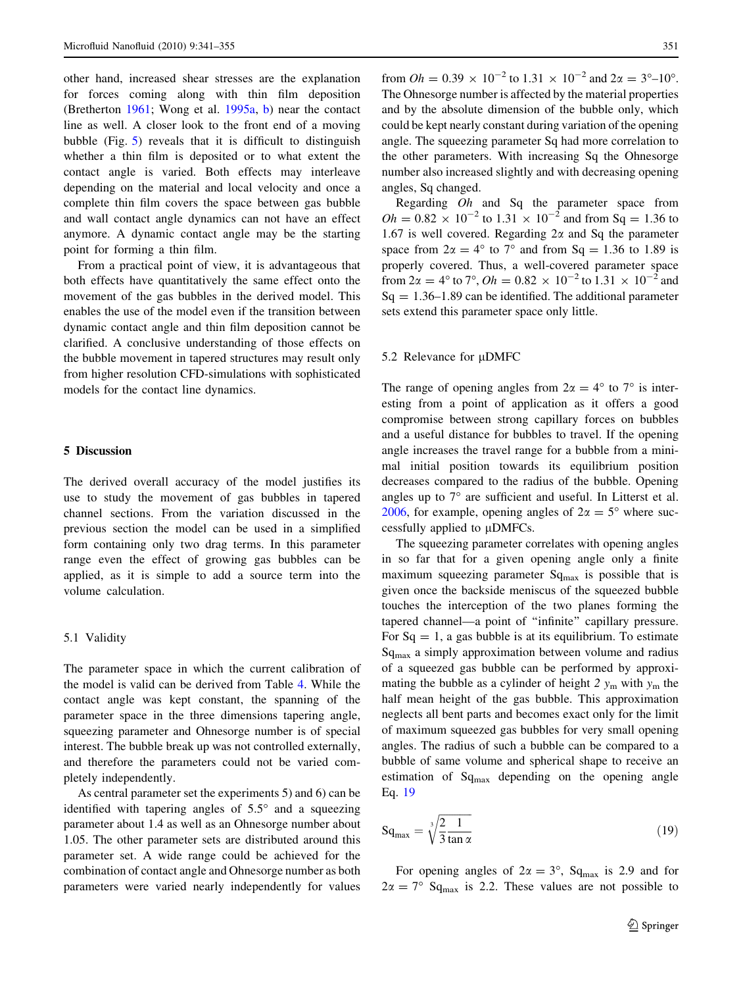<span id="page-10-0"></span>other hand, increased shear stresses are the explanation for forces coming along with thin film deposition (Bretherton [1961;](#page-13-0) Wong et al. [1995a,](#page-14-0) [b\)](#page-14-0) near the contact line as well. A closer look to the front end of a moving bubble (Fig. [5\)](#page-6-0) reveals that it is difficult to distinguish whether a thin film is deposited or to what extent the contact angle is varied. Both effects may interleave depending on the material and local velocity and once a complete thin film covers the space between gas bubble and wall contact angle dynamics can not have an effect anymore. A dynamic contact angle may be the starting point for forming a thin film.

From a practical point of view, it is advantageous that both effects have quantitatively the same effect onto the movement of the gas bubbles in the derived model. This enables the use of the model even if the transition between dynamic contact angle and thin film deposition cannot be clarified. A conclusive understanding of those effects on the bubble movement in tapered structures may result only from higher resolution CFD-simulations with sophisticated models for the contact line dynamics.

# 5 Discussion

The derived overall accuracy of the model justifies its use to study the movement of gas bubbles in tapered channel sections. From the variation discussed in the previous section the model can be used in a simplified form containing only two drag terms. In this parameter range even the effect of growing gas bubbles can be applied, as it is simple to add a source term into the volume calculation.

# 5.1 Validity

The parameter space in which the current calibration of the model is valid can be derived from Table [4.](#page-6-0) While the contact angle was kept constant, the spanning of the parameter space in the three dimensions tapering angle, squeezing parameter and Ohnesorge number is of special interest. The bubble break up was not controlled externally, and therefore the parameters could not be varied completely independently.

As central parameter set the experiments 5) and 6) can be identified with tapering angles of  $5.5^\circ$  and a squeezing parameter about 1.4 as well as an Ohnesorge number about 1.05. The other parameter sets are distributed around this parameter set. A wide range could be achieved for the combination of contact angle and Ohnesorge number as both parameters were varied nearly independently for values

from  $Oh = 0.39 \times 10^{-2}$  to  $1.31 \times 10^{-2}$  and  $2\alpha = 3^{\circ} - 10^{\circ}$ . The Ohnesorge number is affected by the material properties and by the absolute dimension of the bubble only, which could be kept nearly constant during variation of the opening angle. The squeezing parameter Sq had more correlation to the other parameters. With increasing Sq the Ohnesorge number also increased slightly and with decreasing opening angles, Sq changed.

Regarding Oh and Sq the parameter space from  $Oh = 0.82 \times 10^{-2}$  to  $1.31 \times 10^{-2}$  and from Sq = 1.36 to 1.67 is well covered. Regarding  $2\alpha$  and Sq the parameter space from  $2\alpha = 4^{\circ}$  to  $7^{\circ}$  and from Sq = 1.36 to 1.89 is properly covered. Thus, a well-covered parameter space from  $2\alpha = 4^{\circ}$  to  $7^{\circ}$ ,  $Oh = 0.82 \times 10^{-2}$  to  $1.31 \times 10^{-2}$  and  $Sq = 1.36 - 1.89$  can be identified. The additional parameter sets extend this parameter space only little.

#### 5.2 Relevance for  $\mu$ DMFC

The range of opening angles from  $2\alpha = 4^{\circ}$  to  $7^{\circ}$  is interesting from a point of application as it offers a good compromise between strong capillary forces on bubbles and a useful distance for bubbles to travel. If the opening angle increases the travel range for a bubble from a minimal initial position towards its equilibrium position decreases compared to the radius of the bubble. Opening angles up to  $7^\circ$  are sufficient and useful. In Litterst et al. [2006](#page-14-0), for example, opening angles of  $2\alpha = 5^{\circ}$  where successfully applied to  $\mu$ DMFCs.

The squeezing parameter correlates with opening angles in so far that for a given opening angle only a finite maximum squeezing parameter  $Sq<sub>max</sub>$  is possible that is given once the backside meniscus of the squeezed bubble touches the interception of the two planes forming the tapered channel—a point of ''infinite'' capillary pressure. For  $Sq = 1$ , a gas bubble is at its equilibrium. To estimate  $Sq<sub>max</sub>$  a simply approximation between volume and radius of a squeezed gas bubble can be performed by approximating the bubble as a cylinder of height 2  $y_m$  with  $y_m$  the half mean height of the gas bubble. This approximation neglects all bent parts and becomes exact only for the limit of maximum squeezed gas bubbles for very small opening angles. The radius of such a bubble can be compared to a bubble of same volume and spherical shape to receive an estimation of  $Sq_{max}$  depending on the opening angle Eq. 19

$$
Sq_{\text{max}} = \sqrt[3]{\frac{2}{3} \frac{1}{\tan \alpha}} \tag{19}
$$

For opening angles of  $2\alpha = 3^{\circ}$ , Sq<sub>max</sub> is 2.9 and for  $2\alpha = 7^{\circ}$  Sq<sub>max</sub> is 2.2. These values are not possible to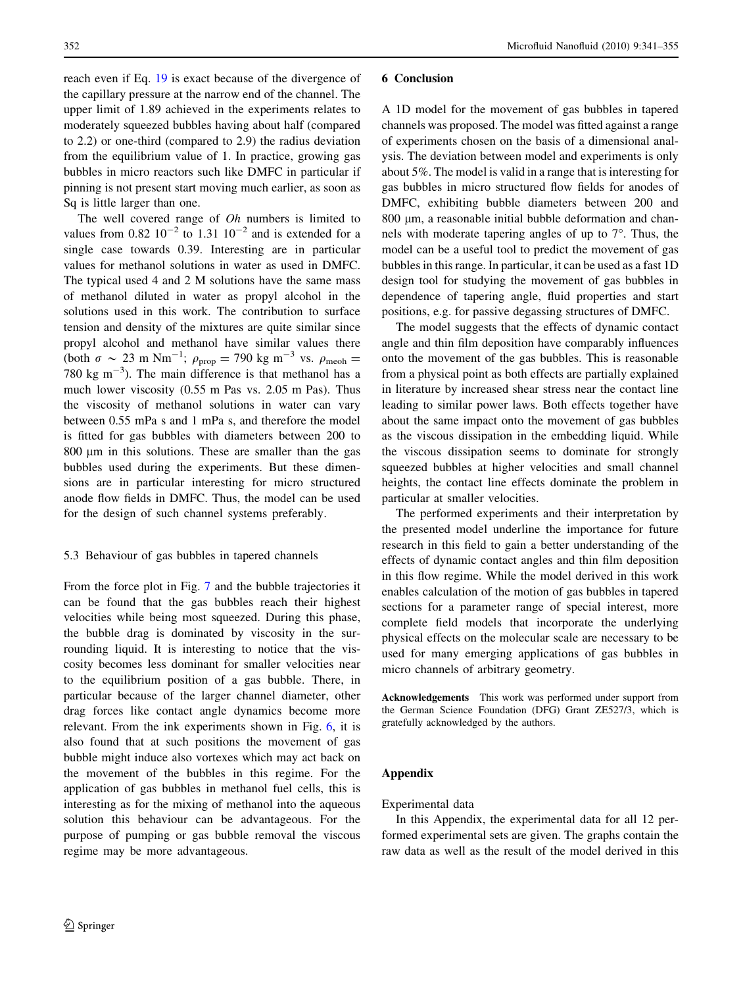reach even if Eq. [19](#page-10-0) is exact because of the divergence of the capillary pressure at the narrow end of the channel. The upper limit of 1.89 achieved in the experiments relates to moderately squeezed bubbles having about half (compared to 2.2) or one-third (compared to 2.9) the radius deviation from the equilibrium value of 1. In practice, growing gas bubbles in micro reactors such like DMFC in particular if pinning is not present start moving much earlier, as soon as Sq is little larger than one.

The well covered range of *Oh* numbers is limited to values from  $0.82 \times 10^{-2}$  to  $1.31 \times 10^{-2}$  and is extended for a single case towards 0.39. Interesting are in particular values for methanol solutions in water as used in DMFC. The typical used 4 and 2 M solutions have the same mass of methanol diluted in water as propyl alcohol in the solutions used in this work. The contribution to surface tension and density of the mixtures are quite similar since propyl alcohol and methanol have similar values there (both  $\sigma \sim 23$  m Nm<sup>-1</sup>;  $\rho_{\text{prop}} = 790$  kg m<sup>-3</sup> vs.  $\rho_{\text{meoh}} =$ 780 kg  $\text{m}^{-3}$ ). The main difference is that methanol has a much lower viscosity (0.55 m Pas vs. 2.05 m Pas). Thus the viscosity of methanol solutions in water can vary between 0.55 mPa s and 1 mPa s, and therefore the model is fitted for gas bubbles with diameters between 200 to 800  $\mu$ m in this solutions. These are smaller than the gas bubbles used during the experiments. But these dimensions are in particular interesting for micro structured anode flow fields in DMFC. Thus, the model can be used for the design of such channel systems preferably.

#### 5.3 Behaviour of gas bubbles in tapered channels

From the force plot in Fig. [7](#page-8-0) and the bubble trajectories it can be found that the gas bubbles reach their highest velocities while being most squeezed. During this phase, the bubble drag is dominated by viscosity in the surrounding liquid. It is interesting to notice that the viscosity becomes less dominant for smaller velocities near to the equilibrium position of a gas bubble. There, in particular because of the larger channel diameter, other drag forces like contact angle dynamics become more relevant. From the ink experiments shown in Fig. [6,](#page-7-0) it is also found that at such positions the movement of gas bubble might induce also vortexes which may act back on the movement of the bubbles in this regime. For the application of gas bubbles in methanol fuel cells, this is interesting as for the mixing of methanol into the aqueous solution this behaviour can be advantageous. For the purpose of pumping or gas bubble removal the viscous regime may be more advantageous.

#### 6 Conclusion

A 1D model for the movement of gas bubbles in tapered channels was proposed. The model was fitted against a range of experiments chosen on the basis of a dimensional analysis. The deviation between model and experiments is only about 5%. The model is valid in a range that is interesting for gas bubbles in micro structured flow fields for anodes of DMFC, exhibiting bubble diameters between 200 and 800 µm, a reasonable initial bubble deformation and channels with moderate tapering angles of up to  $7^\circ$ . Thus, the model can be a useful tool to predict the movement of gas bubbles in this range. In particular, it can be used as a fast 1D design tool for studying the movement of gas bubbles in dependence of tapering angle, fluid properties and start positions, e.g. for passive degassing structures of DMFC.

The model suggests that the effects of dynamic contact angle and thin film deposition have comparably influences onto the movement of the gas bubbles. This is reasonable from a physical point as both effects are partially explained in literature by increased shear stress near the contact line leading to similar power laws. Both effects together have about the same impact onto the movement of gas bubbles as the viscous dissipation in the embedding liquid. While the viscous dissipation seems to dominate for strongly squeezed bubbles at higher velocities and small channel heights, the contact line effects dominate the problem in particular at smaller velocities.

The performed experiments and their interpretation by the presented model underline the importance for future research in this field to gain a better understanding of the effects of dynamic contact angles and thin film deposition in this flow regime. While the model derived in this work enables calculation of the motion of gas bubbles in tapered sections for a parameter range of special interest, more complete field models that incorporate the underlying physical effects on the molecular scale are necessary to be used for many emerging applications of gas bubbles in micro channels of arbitrary geometry.

Acknowledgements This work was performed under support from the German Science Foundation (DFG) Grant ZE527/3, which is gratefully acknowledged by the authors.

# Appendix

## Experimental data

In this Appendix, the experimental data for all 12 performed experimental sets are given. The graphs contain the raw data as well as the result of the model derived in this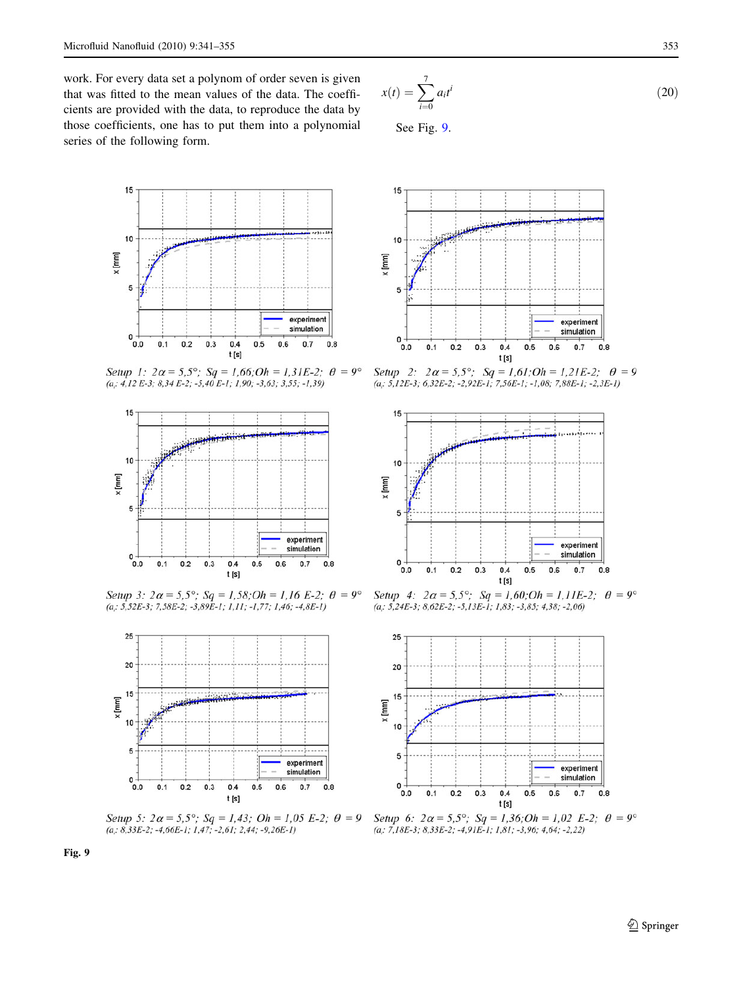work. For every data set a polynom of order seven is given that was fitted to the mean values of the data. The coefficients are provided with the data, to reproduce the data by those coefficients, one has to put them into a polynomial series of the following form.

$$
x(t) = \sum_{i=0}^{7} a_i t^i
$$
\n
$$
(20)
$$

See Fig. 9.



Setup 1:  $2\alpha = 5.5^{\circ}$ ; Sq = 1,66;Oh = 1,31E-2;  $\theta = 9^{\circ}$  $(a; 4, 12 E-3; 8, 34 E-2; -5, 40 E-1; 1, 90; -3, 63; 3, 55; -1, 39)$ 



Setup 3:  $2\alpha = 5.5^{\circ}$ ; Sq = 1.58; Oh = 1.16 E-2;  $\theta = 9^{\circ}$  $(a, 5, 52E-3; 7, 58E-2; -3, 89E-1; 1, 11; -1, 77; 1, 46; -4, 8E-1)$ 



Setup 5:  $2\alpha = 5.5^{\circ}$ ; Sq = 1,43; Oh = 1,05 E-2;  $\theta = 9$  $(a, 8, 33E-2; -4, 66E-1; 1, 47; -2, 61; 2, 44; -9, 26E-1)$ 



Setup 2:  $2\alpha = 5.5^{\circ}$ ; Sq = 1,61;Oh = 1,21E-2;  $\theta = 9$  $(a, 5, 12E-3, 6, 32E-2, -2, 92E-1, 7, 56E-1, -1, 08, 7, 88E-1, -2, 3E-1)$ 



Setup 4:  $2\alpha = 5.5^{\circ}$ ; Sq = 1.60; Oh = 1.11E-2;  $\theta = 9^{\circ}$  $(a, 5, 24E-3, 8, 62E-2, -5, 13E-1, 1, 83, -3, 85, 4, 38, -2, 06)$ 



Setup 6:  $2\alpha = 5.5^{\circ}$ ; Sq = 1,36; Oh = 1,02 E-2;  $\theta = 9^{\circ}$  $(a, 7, 18E-3, 8, 33E-2, -4, 91E-1, 1, 81, -3, 96, 4, 64, -2, 22)$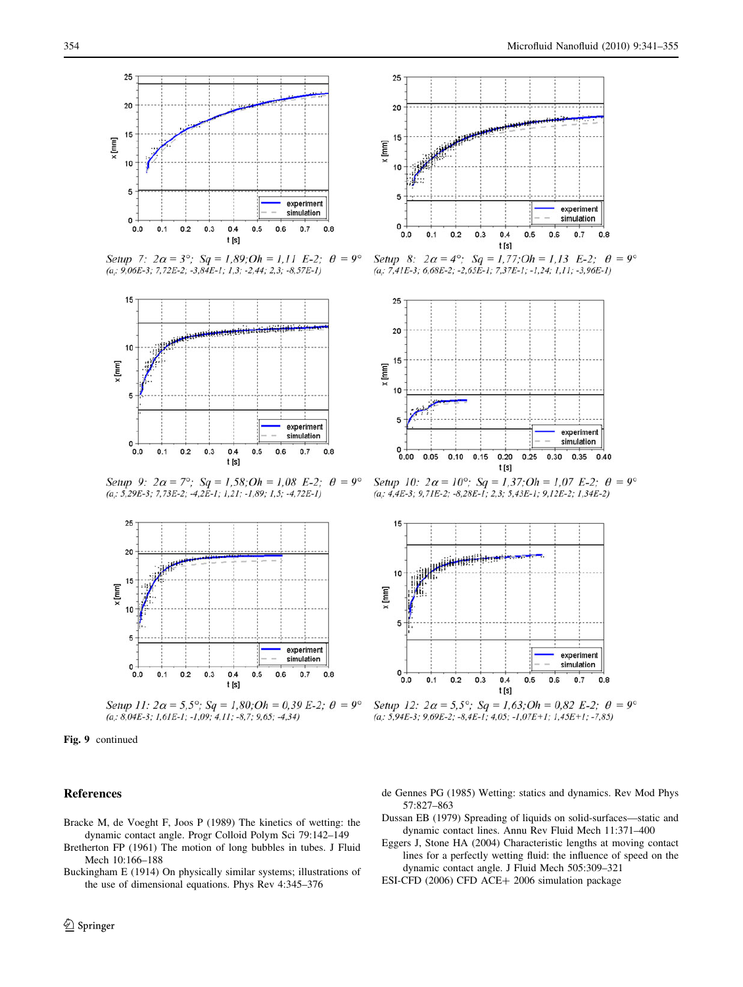

Setup 7:  $2\alpha = 3^{\circ}$ ; Sq = 1,89; Oh = 1,11 E-2;  $\theta = 9^{\circ}$  $(a; 9,06E-3; 7,72E-2; -3,84E-1; 1,3; -2,44; 2,3; -8,57E-1)$ 



Setup 9:  $2\alpha = 7^{\circ}$ ; Sq = 1,58; Oh = 1,08 E-2;  $\theta = 9^{\circ}$ (a;  $5,29E-3$ ;  $7,73E-2$ ;  $-4,2E-1$ ;  $1,21$ ;  $-1,89$ ;  $1,5$ ;  $-4,72E-1$ )



Setup 11:  $2\alpha = 5.5^{\circ}$ ; Sq = 1,80; Oh = 0,39 E-2;  $\theta = 9^{\circ}$  $(a, 8, 04E-3; 1, 61E-1; -1, 09; 4, 11; -8, 7; 9, 65; -4, 34)$ 

Fig. 9 continued

# References

- Bracke M, de Voeght F, Joos P (1989) The kinetics of wetting: the dynamic contact angle. Progr Colloid Polym Sci 79:142–149
- Bretherton FP (1961) The motion of long bubbles in tubes. J Fluid Mech 10:166–188
- Buckingham E (1914) On physically similar systems; illustrations of the use of dimensional equations. Phys Rev 4:345–376

<span id="page-13-0"></span>



Setup 8:  $2\alpha = 4^{\circ}$ ; Sq = 1,77; Oh = 1,13 E-2;  $\theta = 9^{\circ}$  $(a; 7,41E-3; 6,68E-2; -2,65E-1; 7,37E-1; -1,24; 1,11; -3,96E-1)$ 



Setup 10:  $2\alpha = 10^{\circ}$ ; Sq = 1,37; Oh = 1,07 E-2;  $\theta = 9^{\circ}$  $(a; 4,4E-3; 9,7IE-2; -8,28E-1; 2,3; 5,43E-1; 9,12E-2; 1,34E-2)$ 



Setup 12:  $2\alpha = 5.5^{\circ}$ ; Sq = 1,63; Oh = 0,82 E-2;  $\theta = 9^{\circ}$  $(a, 5, 94E-3, 9, 69E-2, -8, 4E-1, 4, 05, -1, 07E+1, 1, 45E+1, -7, 85)$ 

- de Gennes PG (1985) Wetting: statics and dynamics. Rev Mod Phys 57:827–863
- Dussan EB (1979) Spreading of liquids on solid-surfaces—static and dynamic contact lines. Annu Rev Fluid Mech 11:371–400
- Eggers J, Stone HA (2004) Characteristic lengths at moving contact lines for a perfectly wetting fluid: the influence of speed on the dynamic contact angle. J Fluid Mech 505:309–321
- ESI-CFD (2006) CFD ACE+ 2006 simulation package